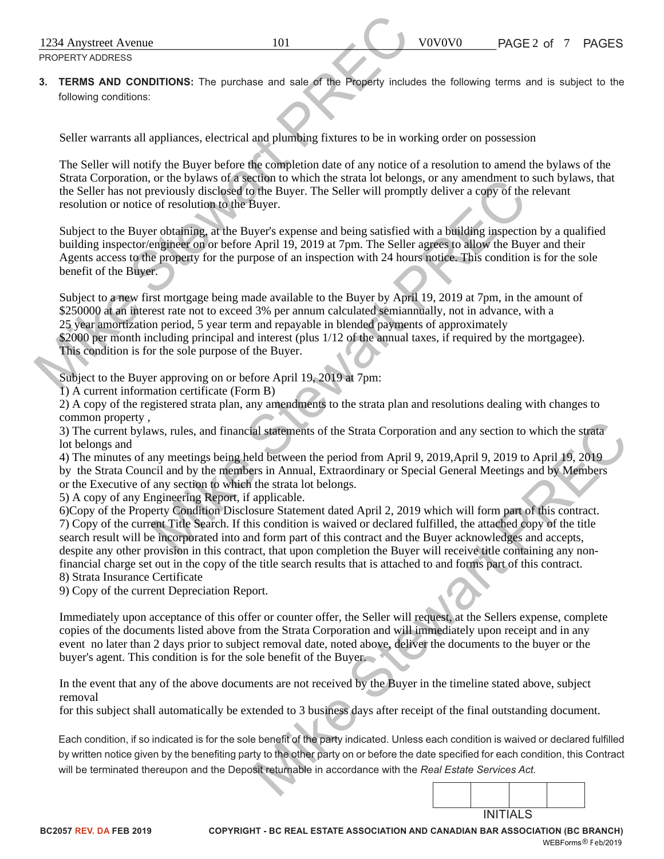3. TERMS AND CONDITIONS: The purchase and sale of the Property includes the following terms and is subject to the following conditions:

Seller warrants all appliances, electrical and plumbing fixtures to be in working order on possession

The Seller will notify the Buyer before the completion date of any notice of a resolution to amend the bylaws of the Strata Corporation, or the bylaws of a section to which the strata lot belongs, or any amendment to such bylaws, that the Seller has not previously disclosed to the Buyer. The Seller will promptly deliver a copy of the relevant resolution or notice of resolution to the Buyer.

Subject to the Buyer obtaining, at the Buyer's expense and being satisfied with a building inspection by a qualified building inspector/engineer on or before April 19, 2019 at 7pm. The Seller agrees to allow the Buyer and their Agents access to the property for the purpose of an inspection with 24 hours notice. This condition is for the sole benefit of the Buyer.

Subject to a new first mortgage being made available to the Buyer by April 19, 2019 at 7pm, in the amount of \$250000 at an interest rate not to exceed 3% per annum calculated semiannually, not in advance, with a 25 year amortization period, 5 year term and repayable in blended payments of approximately \$2000 per month including principal and interest (plus  $1/12$  of the annual taxes, if required by the mortgagee). This condition is for the sole purpose of the Buyer.

Subject to the Buyer approving on or before April 19, 2019 at 7pm:

1) A current information certificate (Form B)

2) A copy of the registered strata plan, any amendments to the strata plan and resolutions dealing with changes to common property ,

3) The current bylaws, rules, and financial statements of the Strata Corporation and any section to which the strata lot belongs and

4) The minutes of any meetings being held between the period from April 9, 2019,April 9, 2019 to April 19, 2019 by the Strata Council and by the members in Annual, Extraordinary or Special General Meetings and by Members or the Executive of any section to which the strata lot belongs.

5) A copy of any Engineering Report, if applicable.

6)Copy of the Property Condition Disclosure Statement dated April 2, 2019 which will form part of this contract. 7) Copy of the current Title Search. If this condition is waived or declared fulfilled, the attached copy of the title search result will be incorporated into and form part of this contract and the Buyer acknowledges and accepts, despite any other provision in this contract, that upon completion the Buyer will receive title containing any nonfinancial charge set out in the copy of the title search results that is attached to and forms part of this contract. 8) Strata Insurance Certificate 1234 Anysteed Avenue 1281<br>
Noticity and 35. The particles are 1281<br>
3. THEMS AND COMMUNIST The particles are 1286  $\frac{1}{2}$  Mike Stephen traction that the broad and the stephen of the stephen of the stephen of the stephen

9) Copy of the current Depreciation Report.

Immediately upon acceptance of this offer or counter offer, the Seller will request, at the Sellers expense, complete copies of the documents listed above from the Strata Corporation and will immediately upon receipt and in any event no later than 2 days prior to subject removal date, noted above, deliver the documents to the buyer or the buyer's agent. This condition is for the sole benefit of the Buyer.

In the event that any of the above documents are not received by the Buyer in the timeline stated above, subject removal

for this subject shall automatically be extended to 3 business days after receipt of the final outstanding document.

Each condition, if so indicated is for the sole benefit of the party indicated. Unless each condition is waived or declared fulfilled by written notice given by the benefiting party to the other party on or before the date specified for each condition, this Contract will be terminated thereupon and the Deposit returnable in accordance with the *Real Estate Services Act.*

| <b>INITIALS</b> |  |  |  |
|-----------------|--|--|--|